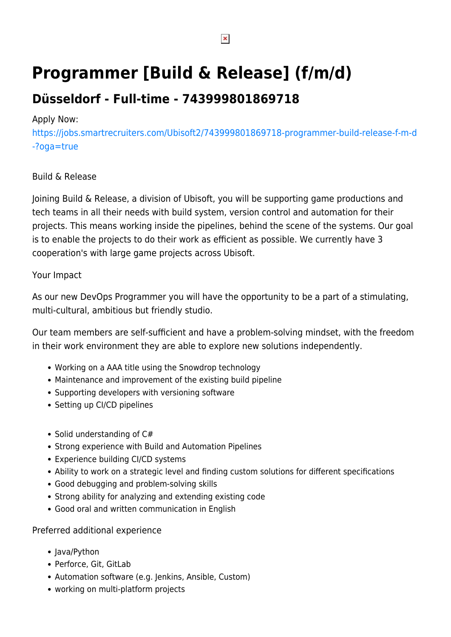# **Programmer [Build & Release] (f/m/d)**

## **Düsseldorf - Full-time - 743999801869718**

### Apply Now:

[https://jobs.smartrecruiters.com/Ubisoft2/743999801869718-programmer-build-release-f-m-d](https://jobs.smartrecruiters.com/Ubisoft2/743999801869718-programmer-build-release-f-m-d-?oga=true) [-?oga=true](https://jobs.smartrecruiters.com/Ubisoft2/743999801869718-programmer-build-release-f-m-d-?oga=true)

#### Build & Release

Joining Build & Release, a division of Ubisoft, you will be supporting game productions and tech teams in all their needs with build system, version control and automation for their projects. This means working inside the pipelines, behind the scene of the systems. Our goal is to enable the projects to do their work as efficient as possible. We currently have 3 cooperation's with large game projects across Ubisoft.

#### Your Impact

As our new DevOps Programmer you will have the opportunity to be a part of a stimulating, multi-cultural, ambitious but friendly studio.

Our team members are self-sufficient and have a problem-solving mindset, with the freedom in their work environment they are able to explore new solutions independently.

- Working on a AAA title using the Snowdrop technology
- Maintenance and improvement of the existing build pipeline
- Supporting developers with versioning software
- Setting up CI/CD pipelines
- $\bullet$  Solid understanding of C#
- Strong experience with Build and Automation Pipelines
- Experience building CI/CD systems
- Ability to work on a strategic level and finding custom solutions for different specifications
- Good debugging and problem-solving skills
- Strong ability for analyzing and extending existing code
- Good oral and written communication in English

#### Preferred additional experience

- Java/Python
- Perforce, Git, GitLab
- Automation software (e.g. Jenkins, Ansible, Custom)
- working on multi-platform projects

 $\pmb{\times}$